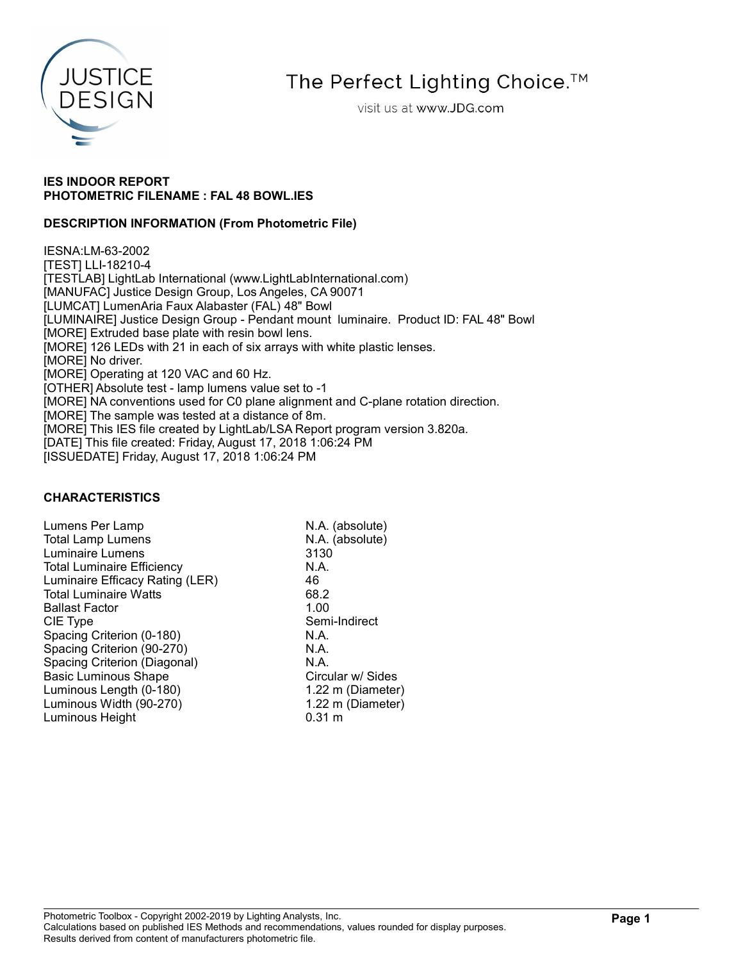

# The Perfect Lighting Choice.<sup>™</sup>

visit us at www.JDG.com

## IES INDOOR REPORT PHOTOMETRIC FILENAME : FAL 48 BOWL.IES

## DESCRIPTION INFORMATION (From Photometric File)

IESNA:LM-63-2002 [TEST] LLI-18210-4 [TESTLAB] LightLab International (www.LightLabInternational.com) [MANUFAC] Justice Design Group, Los Angeles, CA 90071 [LUMCAT] LumenAria Faux Alabaster (FAL) 48" Bowl [LUMINAIRE] Justice Design Group - Pendant mount luminaire. Product ID: FAL 48" Bowl [MORE] Extruded base plate with resin bowl lens. [MORE] 126 LEDs with 21 in each of six arrays with white plastic lenses. [MORE] No driver. [MORE] Operating at 120 VAC and 60 Hz. [OTHER] Absolute test - lamp lumens value set to -1 [MORE] NA conventions used for C0 plane alignment and C-plane rotation direction. [MORE] The sample was tested at a distance of 8m. [MORE] This IES file created by LightLab/LSA Report program version 3.820a. [DATE] This file created: Friday, August 17, 2018 1:06:24 PM [ISSUEDATE] Friday, August 17, 2018 1:06:24 PM

## CHARACTERISTICS

Lumens Per Lamp N.A. (absolute) Total Lamp Lumens N.A. (absolute) Luminaire Lumens 3130 Total Luminaire Efficiency **N.A.** Luminaire Efficacy Rating (LER) 46<br>Total Luminaire Watts 68.2 Total Luminaire Watts 68.2<br>Ballast Factor 1.00 **Ballast Factor** CIE Type Semi-Indirect Spacing Criterion (0-180) N.A.<br>Spacing Criterion (90-270) N.A. Spacing Criterion (90-270) Spacing Criterion (Diagonal) N.A. Basic Luminous Shape Circular w/ Sides Luminous Length (0-180) 1.22 m (Diameter) Luminous Width (90-270) 1.22 m (Diameter) Luminous Height 6.31 m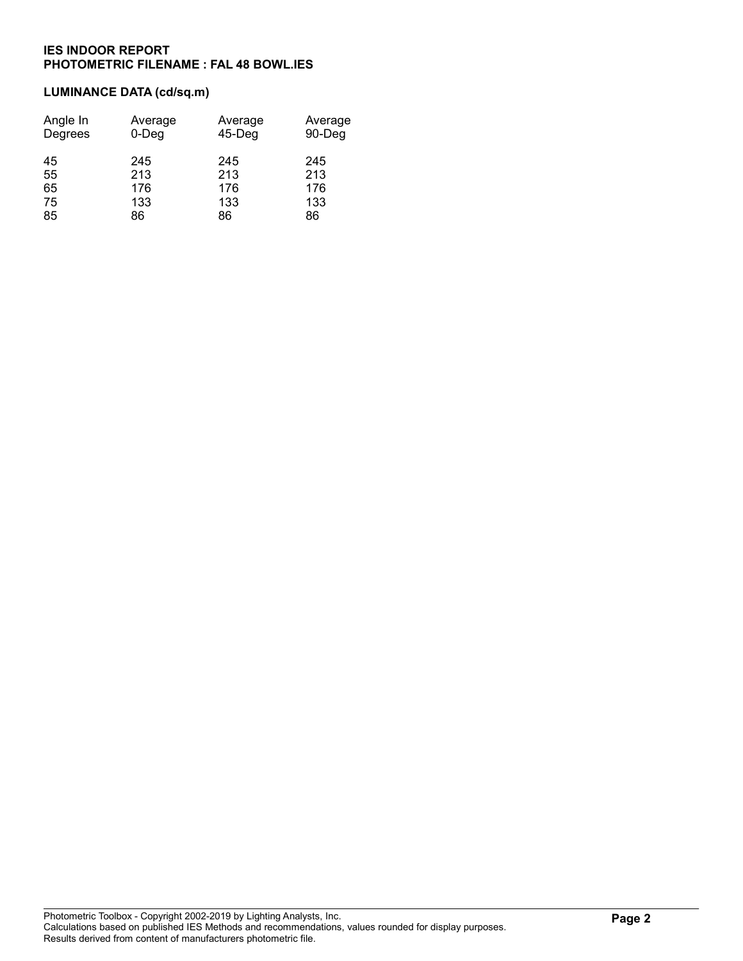# LUMINANCE DATA (cd/sq.m)

| Angle In<br>Degrees | Average<br>$0$ -Deg | Average<br>45-Deg | Average<br>90-Deg |
|---------------------|---------------------|-------------------|-------------------|
| 45                  | 245                 | 245               | 245               |
| 55                  | 213                 | 213               | 213               |
| 65                  | 176                 | 176               | 176               |
| 75                  | 133                 | 133               | 133               |
| 85                  | 86                  | 86                | 86                |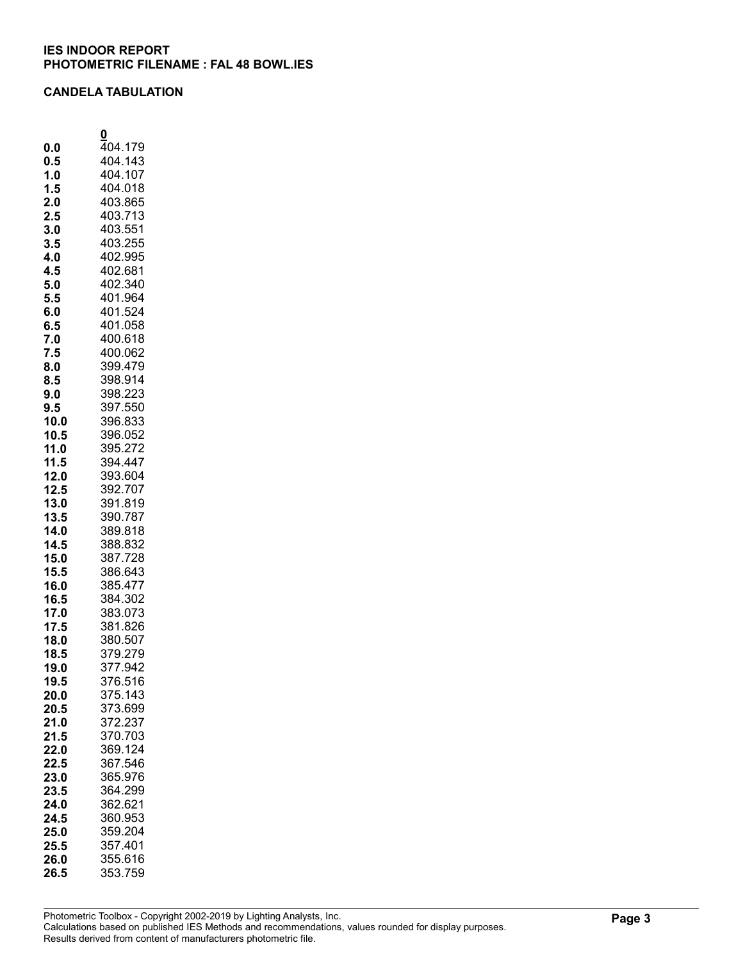## CANDELA TABULATION

|              | 0                  |
|--------------|--------------------|
| 0.0          | 404.179            |
| 0.5          | 404.143            |
| 1.0          | 404.107            |
| 1.5          | 404.018            |
| 2.0          | 403.865            |
| 2.5          | 403.713<br>403.551 |
| 3.0<br>3.5   | 403.255            |
| 4.0          | 402.995            |
| 4.5          | 402.681            |
| 5.0          | 402.340            |
| 5.5          | 401.964            |
| 6.0          | 401.524            |
| 6.5          | 401.058            |
| 7.0          | 400.618            |
| 7.5          | 400.062            |
| 8.0          | 399.479            |
| 8.5          | 398.914            |
| 9.0          | 398.223            |
| 9.5          | 397.550            |
| 10.0         | 396.833            |
| 10.5         | 396.052            |
| 11.0         | 395.272<br>394.447 |
| 11.5<br>12.0 | 393.604            |
| 12.5         | 392.707            |
| 13.0         | 391.819            |
| 13.5         | 390.787            |
| 14.0         | 389.818            |
| 14.5         | 388.832            |
| 15.0         | 387.728            |
| 15.5         | 386.643            |
| 16.0         | 385.477            |
| 16.5         | 384.302            |
| 17.0         | 383.073            |
| 17.5         | 381.826            |
| 18.0<br>18.5 | 380.507<br>379.279 |
| 19.0         | 377.942            |
| 19.5         | 376.516            |
| 20.0         | 375.143            |
| 20.5         | 373.699            |
| 21.0         | 372.237            |
| 21.5         | 370.703            |
| 22.0         | 369.124            |
| 22.5         | 367.546            |
| 23.0         | 365.976            |
| 23.5         | 364.299            |
| 24.0         | 362.621<br>360.953 |
| 24.5<br>25.0 | 359.204            |
| 25.5         | 357.401            |
| 26.0         | 355.616            |
| 26.5         | 353.759            |
|              |                    |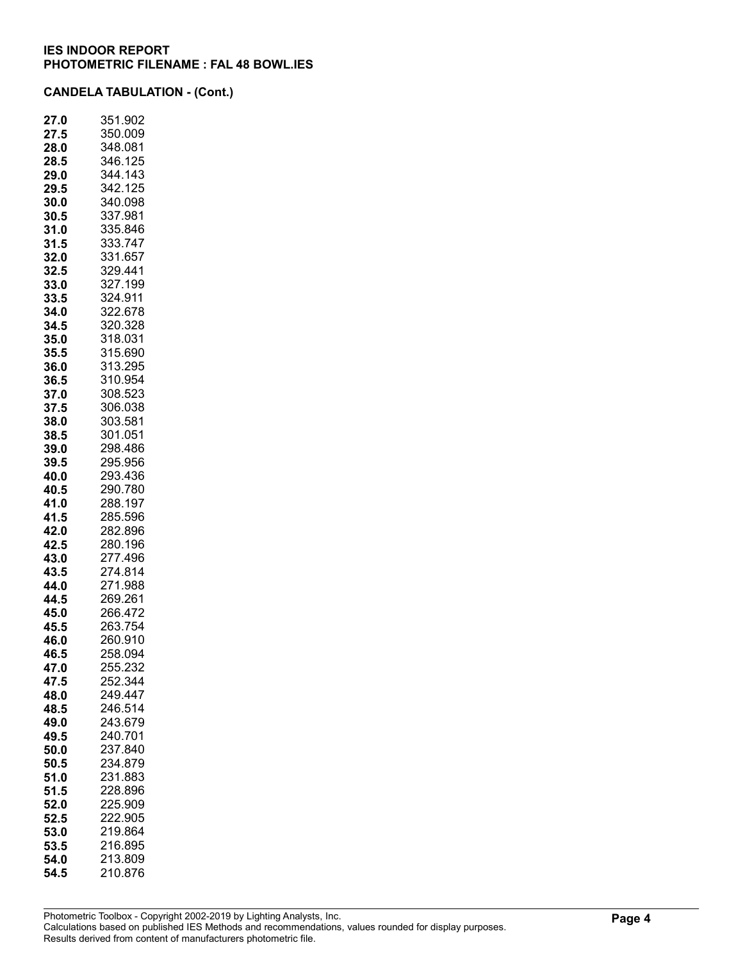| 27.0 | 351.902 |
|------|---------|
| 27.5 | 350.009 |
| 28.0 | 348.081 |
| 28.5 | 346.125 |
| 29.0 | 344.143 |
| 29.5 | 342.125 |
| 30.0 | 340.098 |
| 30.5 | 337.981 |
| 31.0 | 335.846 |
| 31.5 | 333.747 |
| 32.0 | 331.657 |
| 32.5 | 329.441 |
| 33.0 | 327.199 |
| 33.5 | 324.911 |
| 34.0 | 322.678 |
| 34.5 | 320.328 |
| 35.0 | 318.031 |
| 35.5 | 315.690 |
| 36.0 | 313.295 |
| 36.5 | 310.954 |
| 37.0 | 308.523 |
| 37.5 | 306.038 |
| 38.0 | 303.581 |
| 38.5 | 301.051 |
| 39.0 | 298.486 |
| 39.5 | 295.956 |
| 40.0 | 293.436 |
| 40.5 | 290.780 |
| 41.0 | 288.197 |
| 41.5 | 285.596 |
| 42.0 | 282.896 |
| 42.5 | 280.196 |
| 43.0 | 277.496 |
| 43.5 | 274.814 |
| 44.0 | 271.988 |
| 44.5 | 269.261 |
| 45.0 | 266.472 |
| 45.5 | 263.754 |
| 46.0 | 260.910 |
| 46.5 | 258.094 |
| 47.0 | 255.232 |
| 47.5 | 252.344 |
| 48.0 | 249.447 |
| 48.5 | 246.514 |
| 49.0 | 243.679 |
| 49.5 | 240.701 |
| 50.0 | 237.840 |
| 50.5 | 234.879 |
| 51.0 | 231.883 |
| 51.5 | 228.896 |
| 52.0 | 225.909 |
| 52.5 | 222.905 |
| 53.0 | 219.864 |
| 53.5 | 216.895 |
| 54.0 | 213.809 |
| 54.5 | 210.876 |
|      |         |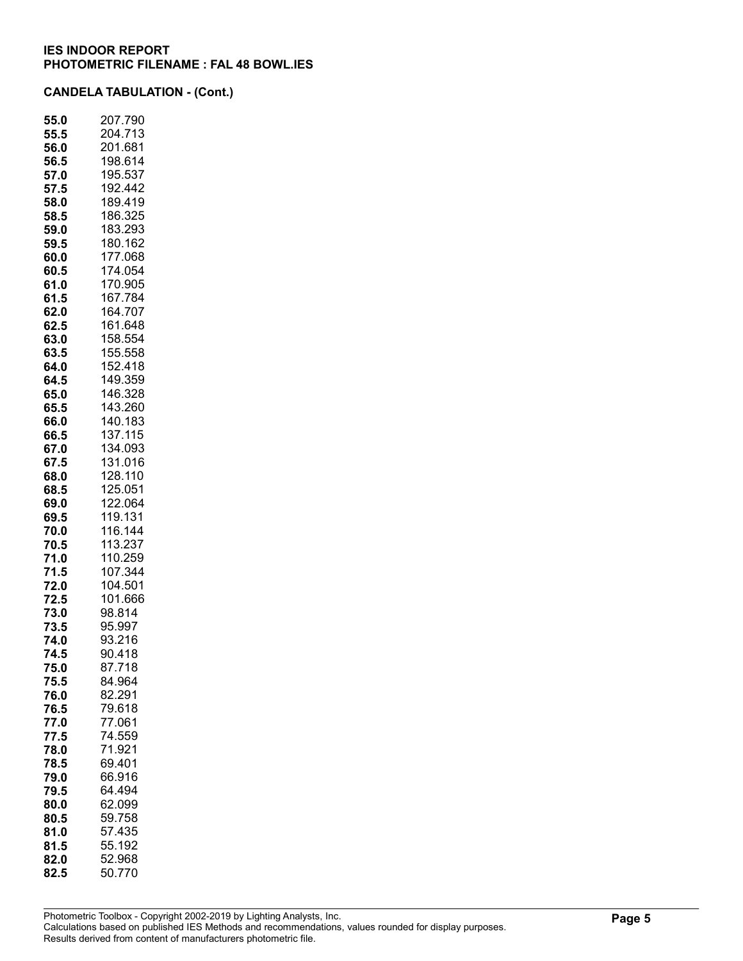| 55.0     | 207.790 |
|----------|---------|
| 55.5     | 204.713 |
| 56.0     | 201.681 |
| 56.5     | 198.614 |
| 57.0     | 195.537 |
| 57.5     | 192.442 |
| 58.0     | 189.419 |
| 58.5     | 186.325 |
| 59.0     | 183.293 |
| 59.5     | 180.162 |
| 60.0     | 177.068 |
| 60.5     | 174.054 |
| 61.0     | 170.905 |
| 61.5     | 167.784 |
| 62.0     | 164.707 |
| 62.5     | 161.648 |
| 63.0     | 158.554 |
| 63.5     | 155.558 |
| 64.0     | 152.418 |
| 64.5     | 149.359 |
| 65.0     | 146.328 |
| 65.5     | 143.260 |
| 66.0     | 140.183 |
| 66.5     | 137.115 |
| 67.0     | 134.093 |
| 67.5     | 131.016 |
| 68.0     | 128.110 |
| 68.5     | 125.051 |
| 69.0     | 122.064 |
| 69.5     | 119.131 |
| 70.0     | 116.144 |
| 70.5     | 113.237 |
| 71.0     | 110.259 |
| .5<br>71 | 107.344 |
| 72.0     | 104.501 |
| 72.5     | 101.666 |
| 73.0     | 98.814  |
| 73.5     | 95.997  |
| 74.0     | 93.216  |
| 74.5     | 90.418  |
| 75.0     | 87.718  |
| 75.5     | 84.964  |
| 76.0     | 82.291  |
| 76.5     | 79.618  |
| 77.0     | 77.061  |
| 77.5     | 74.559  |
| 78.0     | 71.921  |
| 78.5     | 69.401  |
| 79.0     | 66.916  |
| 79.5     | 64.494  |
| 80.0     | 62.099  |
| 80.5     | 59.758  |
| 81.0     | 57.435  |
|          | 55.192  |
| 81.5     |         |
| 82.0     | 52.968  |
| 82.5     | 50.770  |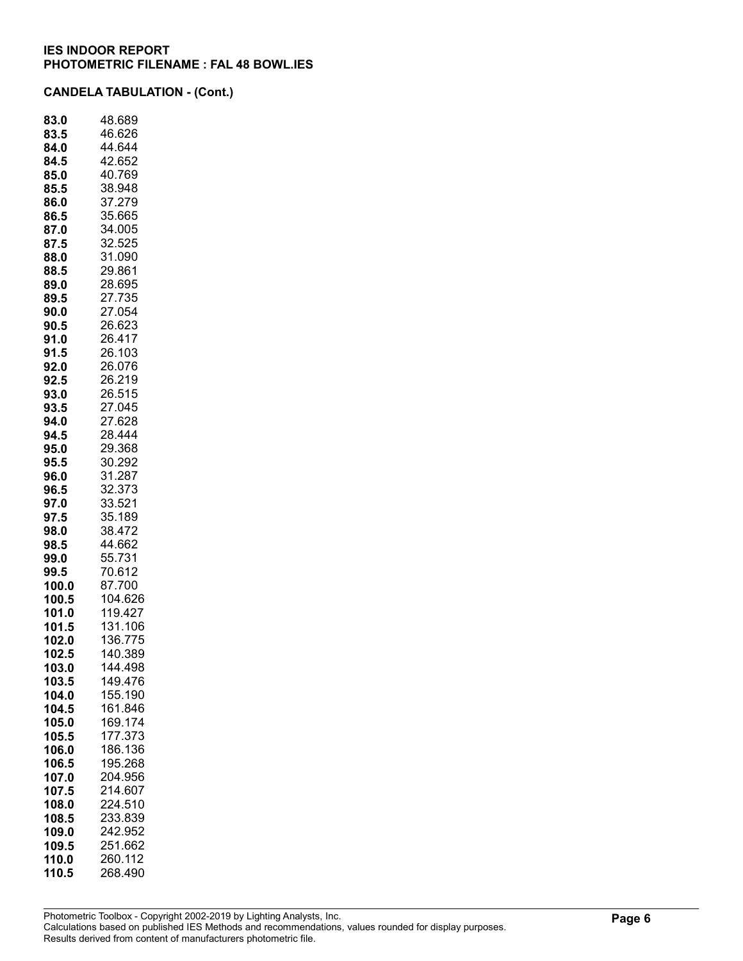| 83.0  | 48.689  |
|-------|---------|
| 83.5  | 46.626  |
| 84.0  | 44.644  |
| 84.5  | 42.652  |
| 85.0  | 40.769  |
| 85.5  | 38.948  |
| 86.0  | 37.279  |
| 86.5  | 35.665  |
| 87.0  | 34.005  |
| 87.5  | 32.525  |
| 88.0  | 31.090  |
| 88.5  | 29.861  |
| 89.0  | 28.695  |
| 89.5  | 27.735  |
| 90.0  | 27.054  |
| 90.5  | 26.623  |
| 91.0  | 26.417  |
| 91.5  | 26.103  |
|       |         |
| 92.0  | 26.076  |
| 92.5  | 26.219  |
| 93.0  | 26.515  |
| 93.5  | 27.045  |
| 94.0  | 27.628  |
| 94.5  | 28.444  |
| 95.0  | 29.368  |
| 95.5  | 30.292  |
| 96.0  | 31.287  |
| 96.5  | 32.373  |
| 97.0  | 33.521  |
| 97.5  | 35.189  |
| 98.0  | 38.472  |
| 98.5  | 44.662  |
| 99.0  | 55.731  |
| 99.5  | 70.612  |
| 100.0 | 87.700  |
| 100.5 | 104.626 |
| 101.0 | 119.427 |
| 101.5 | 131.106 |
| 102.0 | 136.775 |
| 102.5 | 140.389 |
| 103.0 | 144.498 |
| 103.5 | 149.476 |
| 104.0 | 155.190 |
| 104.5 | 161.846 |
| 105.0 | 169.174 |
| 105.5 | 177.373 |
| 106.0 | 186.136 |
| 106.5 | 195.268 |
| 107.0 | 204.956 |
| 107.5 | 214.607 |
| 108.0 | 224.510 |
| 108.5 | 233.839 |
|       | 242.952 |
| 109.0 |         |
| 109.5 | 251.662 |
| 110.0 | 260.112 |
| 110.5 | 268.490 |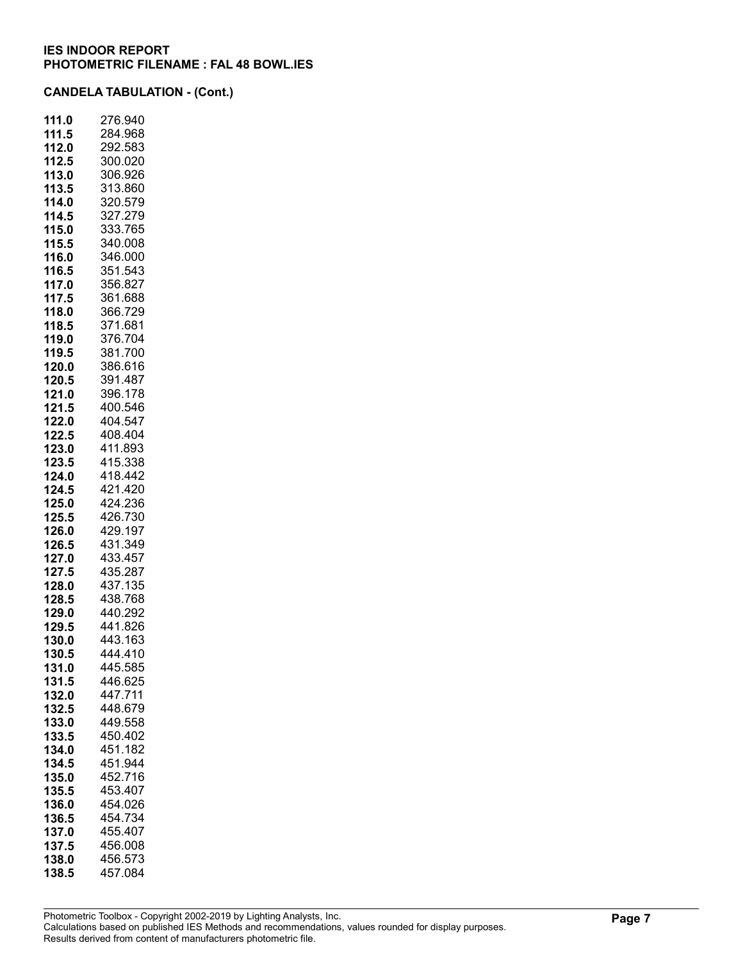| 111.0 | 276.940 |
|-------|---------|
| 111.5 | 284.968 |
| 112.0 | 292.583 |
| 112.5 | 300.020 |
| 113.0 | 306.926 |
| 113.5 | 313.860 |
| 114.0 | 320.579 |
| 114.5 | 327.279 |
| 115.0 | 333.765 |
| 115.5 | 340.008 |
| 116.0 | 346.000 |
| 116.5 | 351.543 |
| 117.0 | 356.827 |
| 117.5 | 361.688 |
| 118.0 | 366.729 |
| 118.5 | 371.681 |
| 119.0 | 376.704 |
| 119.5 | 381.700 |
| 120.0 | 386.616 |
| 120.5 | 391.487 |
| 121.0 | 396.178 |
| 121.5 | 400.546 |
| 122.0 | 404.547 |
| 122.5 | 408.404 |
| 123.0 | 411.893 |
| 123.5 | 415.338 |
| 124.0 | 418.442 |
| 124.5 | 421.420 |
| 125.0 | 424.236 |
| 125.5 | 426.730 |
| 126.0 | 429.197 |
| 126.5 | 431.349 |
| 127.0 | 433.457 |
| 127.5 | 435.287 |
| 128.0 | 437.135 |
| 128.5 | 438.768 |
| 129.0 | 440.292 |
| 129.5 | 441.826 |
| 130.0 | 443.163 |
| 130.5 | 444.410 |
| 131.0 | 445.585 |
| 131.5 | 446.625 |
| 132.0 | 447.711 |
| 132.5 | 448.679 |
| 133.0 | 449.558 |
| 133.5 | 450.402 |
| 134.0 | 451.182 |
| 134.5 | 451.944 |
| 135.0 | 452.716 |
| 135.5 | 453.407 |
| 136.0 | 454.026 |
| 136.5 | 454.734 |
| 137.0 | 455.407 |
| 137.5 | 456.008 |
| 138.0 | 456.573 |
| 138.5 | 457.084 |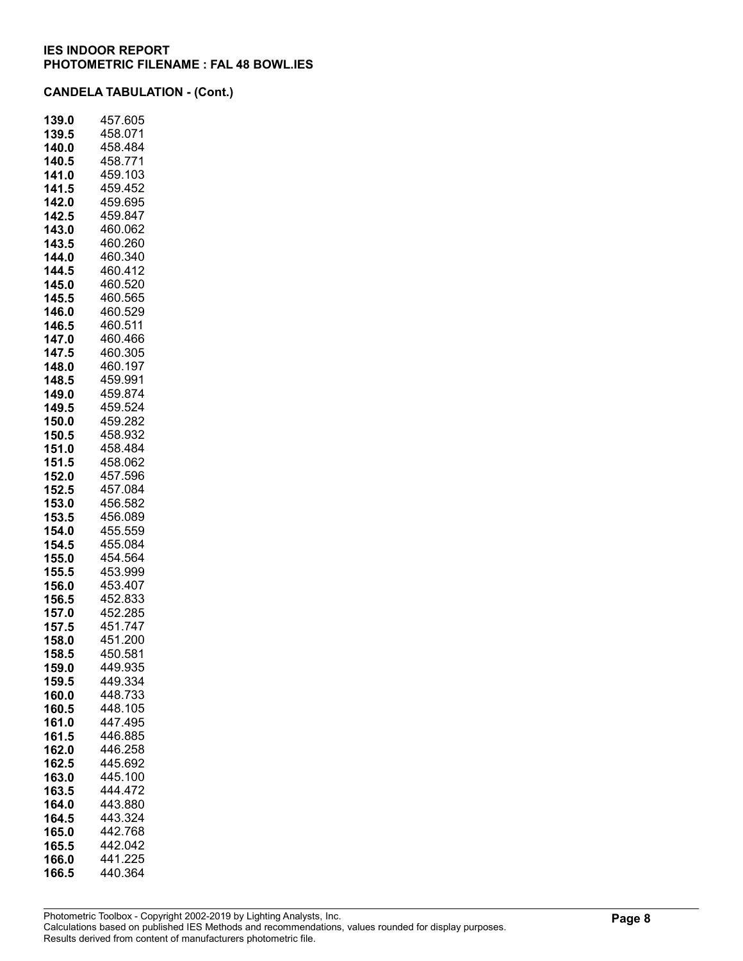| 139.0 | 457.605 |
|-------|---------|
| 139.5 | 458.071 |
| 140.0 | 458.484 |
| 140.5 | 458.771 |
| 141.0 | 459.103 |
| 141.5 | 459.452 |
| 142.0 | 459.695 |
| 142.5 | 459.847 |
| 143.0 | 460.062 |
| 143.5 | 460.260 |
| 144.0 | 460.340 |
| 144.5 | 460.412 |
| 145.0 | 460.520 |
| 145.5 | 460.565 |
| 146.0 | 460.529 |
| 146.5 | 460.511 |
| 147.0 | 460.466 |
| 147.5 | 460.305 |
| 148.0 | 460.197 |
| 148.5 | 459.991 |
| 149.0 | 459.874 |
| 149.5 | 459.524 |
| 150.0 | 459.282 |
| 150.5 | 458.932 |
| 151.0 | 458.484 |
| 151.5 | 458.062 |
| 152.0 | 457.596 |
| 152.5 | 457.084 |
| 153.0 | 456.582 |
| 153.5 | 456.089 |
| 154.0 | 455.559 |
| 154.5 | 455.084 |
| 155.0 | 454.564 |
| 155.5 | 453.999 |
| 156.0 | 453.407 |
| 156.5 | 452.833 |
| 157.0 | 452.285 |
| 157.5 | 451.747 |
| 158.0 | 451.200 |
| 158.5 | 450.581 |
| 159.0 | 449.935 |
| 159.5 | 449.334 |
| 160.0 | 448.733 |
| 160.5 | 448.105 |
| 161.0 | 447.495 |
| 161.5 | 446.885 |
| 162.0 | 446.258 |
| 162.5 | 445.692 |
| 163.0 | 445.100 |
| 163.5 | 444.472 |
| 164.0 | 443.880 |
| 164.5 | 443.324 |
| 165.0 | 442.768 |
| 165.5 | 442.042 |
| 166.0 | 441.225 |
| 166.5 | 440.364 |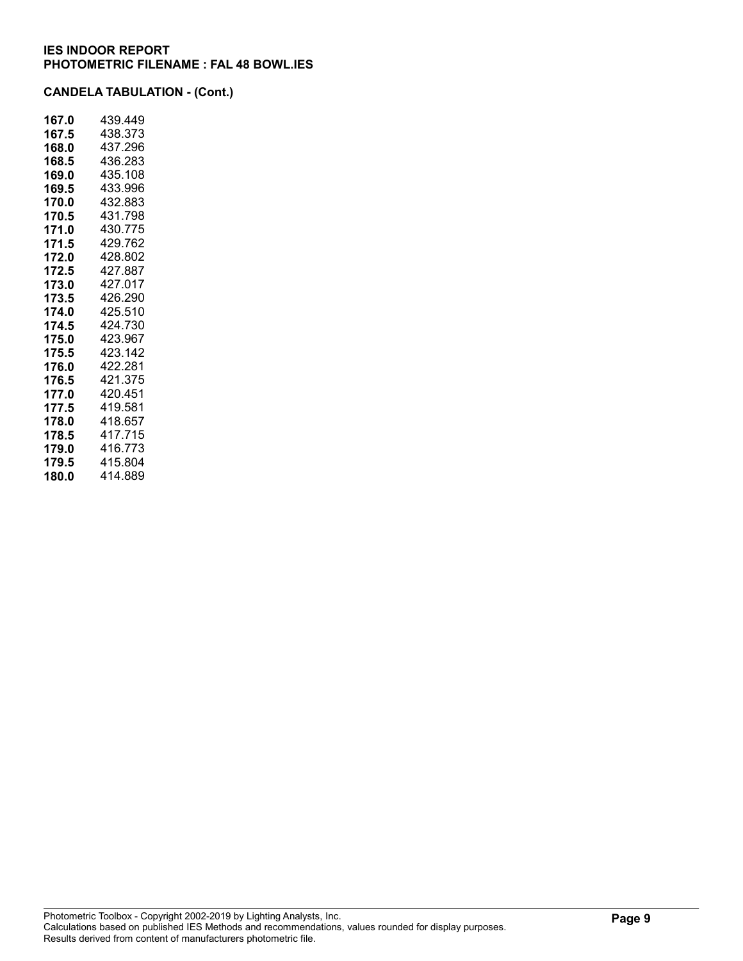| 167.0 | 439.449 |
|-------|---------|
| 167.5 | 438.373 |
| 168.0 | 437.296 |
| 168.5 | 436.283 |
| 169.0 | 435.108 |
| 169.5 | 433.996 |
| 170.0 | 432.883 |
| 170.5 | 431.798 |
| 171.0 | 430.775 |
| 171.5 | 429.762 |
| 172.0 | 428.802 |
| 172.5 | 427.887 |
| 173.0 | 427.017 |
| 173.5 | 426.290 |
| 174.0 | 425.510 |
| 174.5 | 424.730 |
| 175.0 | 423.967 |
| 175.5 | 423.142 |
| 176.0 | 422.281 |
| 176.5 | 421.375 |
| 177.0 | 420.451 |
| 177.5 | 419.581 |
| 178.0 | 418.657 |
| 178.5 | 417.715 |
| 179.0 | 416.773 |
| 179.5 | 415.804 |
| 180.0 | 414.889 |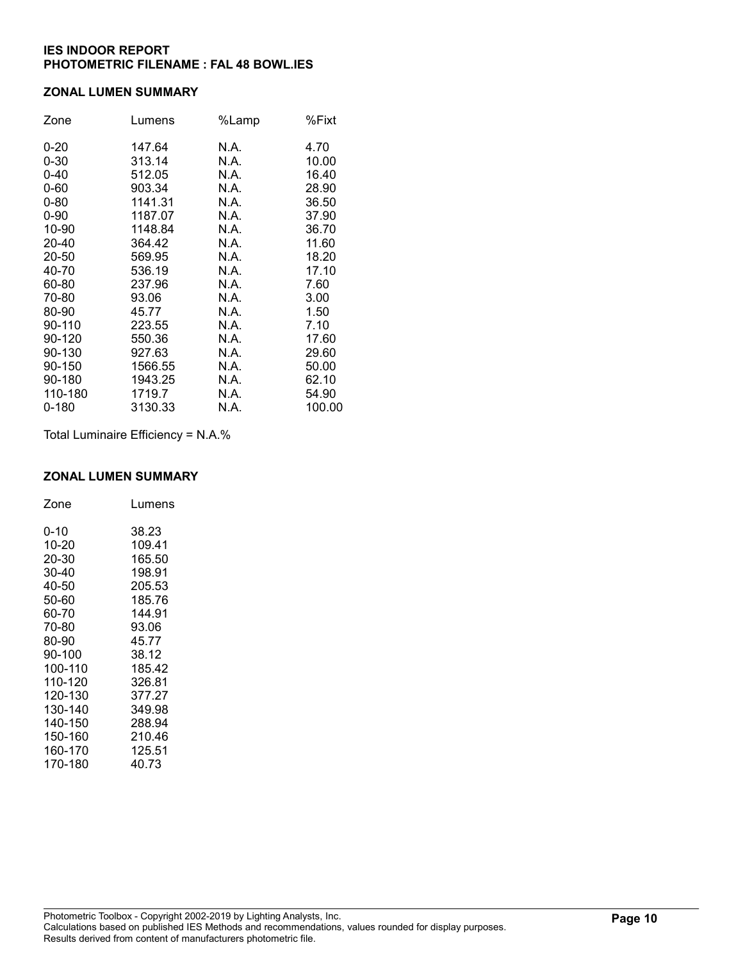#### ZONAL LUMEN SUMMARY

| Zone     | Lumens  | %Lamp | %Fixt  |
|----------|---------|-------|--------|
| $0 - 20$ | 147.64  | N.A.  | 4.70   |
| $0 - 30$ | 313.14  | N.A.  | 10.00  |
| $0 - 40$ | 512.05  | N.A.  | 16.40  |
| $0 - 60$ | 903.34  | N.A.  | 28.90  |
| $0 - 80$ | 1141.31 | N.A.  | 36.50  |
| $0 - 90$ | 1187.07 | N.A.  | 37.90  |
| 10-90    | 1148.84 | N.A.  | 36.70  |
| 20-40    | 364.42  | N.A.  | 11.60  |
| 20-50    | 569.95  | N.A.  | 18.20  |
| 40-70    | 536.19  | N.A.  | 17.10  |
| 60-80    | 237.96  | N.A.  | 7.60   |
| 70-80    | 93.06   | N.A.  | 3.00   |
| 80-90    | 45.77   | N.A.  | 1.50   |
| 90-110   | 223.55  | N.A.  | 7.10   |
| 90-120   | 550.36  | N.A.  | 17.60  |
| 90-130   | 927.63  | N.A.  | 29.60  |
| 90-150   | 1566.55 | N.A.  | 50.00  |
| 90-180   | 1943.25 | N.A.  | 62.10  |
| 110-180  | 1719.7  | N.A.  | 54.90  |
| 0-180    | 3130.33 | N.A.  | 100.00 |

Total Luminaire Efficiency = N.A.%

## ZONAL LUMEN SUMMARY

| Zone    | Lumens |
|---------|--------|
| 0-10    | 38.23  |
| 10-20   | 109.41 |
| 20-30   | 165.50 |
| 30-40   | 198.91 |
| 40-50   | 205.53 |
| 50-60   | 185.76 |
| 60-70   | 144.91 |
| 70-80   | 93.06  |
| 80-90   | 45.77  |
| 90-100  | 38.12  |
| 100-110 | 185.42 |
| 110-120 | 326.81 |
| 120-130 | 377.27 |
| 130-140 | 349.98 |
| 140-150 | 288.94 |
| 150-160 | 210.46 |
| 160-170 | 125.51 |
| 170-180 | 40.73  |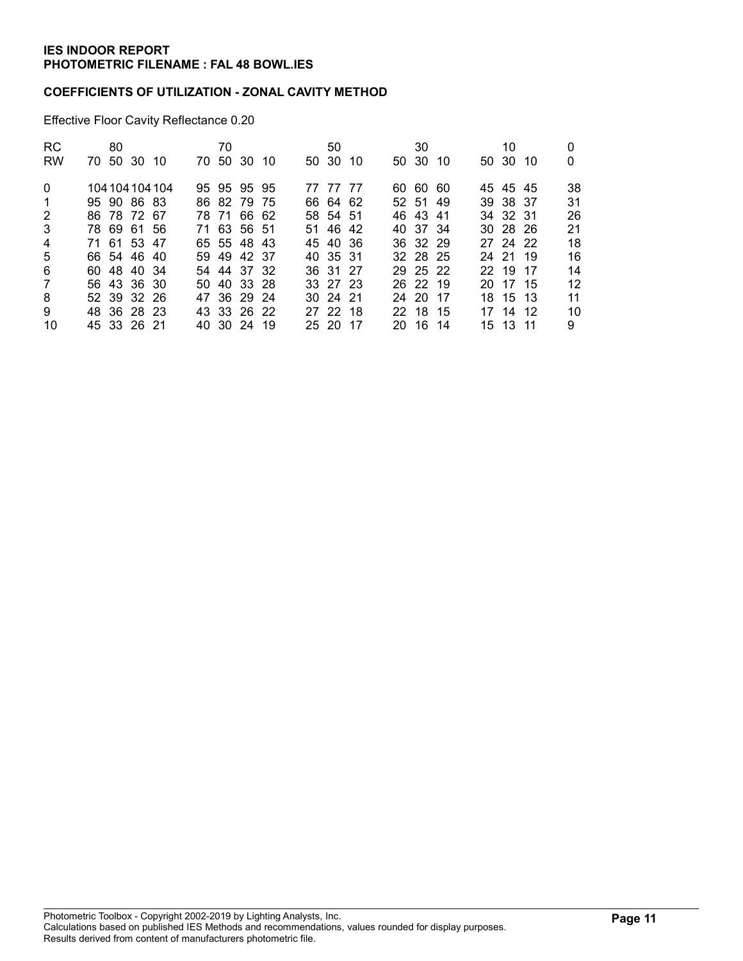## COEFFICIENTS OF UTILIZATION - ZONAL CAVITY METHOD

Effective Floor Cavity Reflectance 0.20

| RC.            | 80 |             |                 | 70 |             |  | 50       |  | 30       |  | 10           |     | 0  |
|----------------|----|-------------|-----------------|----|-------------|--|----------|--|----------|--|--------------|-----|----|
| <b>RW</b>      |    | 70 50 30 10 |                 |    | 70 50 30 10 |  | 50 30 10 |  | 50 30 10 |  | 50 30        | -10 | 0  |
| $\Omega$       |    |             | 104 104 104 104 |    | 95 95 95 95 |  | 77 77 77 |  | 60 60 60 |  | 45 45 45     |     | 38 |
| -1             |    | 95 90 86 83 |                 |    | 86 82 79 75 |  | 66 64 62 |  | 52 51 49 |  | 39 38 37     |     | 31 |
| 2              |    | 86 78 72 67 |                 |    | 78 71 66 62 |  | 58 54 51 |  | 46 43 41 |  | 34 32 31     |     | 26 |
| 3              |    | 78 69 61 56 |                 |    | 71 63 56 51 |  | 51 46 42 |  | 40 37 34 |  | $30\,28\,26$ |     | 21 |
| $\overline{4}$ |    | 71 61 53 47 |                 |    | 65 55 48 43 |  | 45 40 36 |  | 36 32 29 |  | 27 24 22     |     | 18 |
| 5              |    | 66 54 46 40 |                 |    | 59 49 42 37 |  | 40 35 31 |  | 32 28 25 |  | 24 21 19     |     | 16 |
| 6              |    | 60 48 40 34 |                 |    | 54 44 37 32 |  | 36 31 27 |  | 29 25 22 |  | 22 19 17     |     | 14 |
| $\overline{7}$ |    | 56 43 36 30 |                 |    | 50 40 33 28 |  | 33 27 23 |  | 26 22 19 |  | 20 17 15     |     | 12 |
| 8              |    | 52 39 32 26 |                 |    | 47 36 29 24 |  | 30 24 21 |  | 24 20 17 |  | 18 15 13     |     | 11 |
| 9              |    | 48 36 28 23 |                 |    | 43 33 26 22 |  | 27 22 18 |  | 22 18 15 |  | 17 14 12     |     | 10 |
| 10             |    | 45 33 26 21 |                 |    | 40 30 24 19 |  | 25 20 17 |  | 20 16 14 |  | 15 13 11     |     | 9  |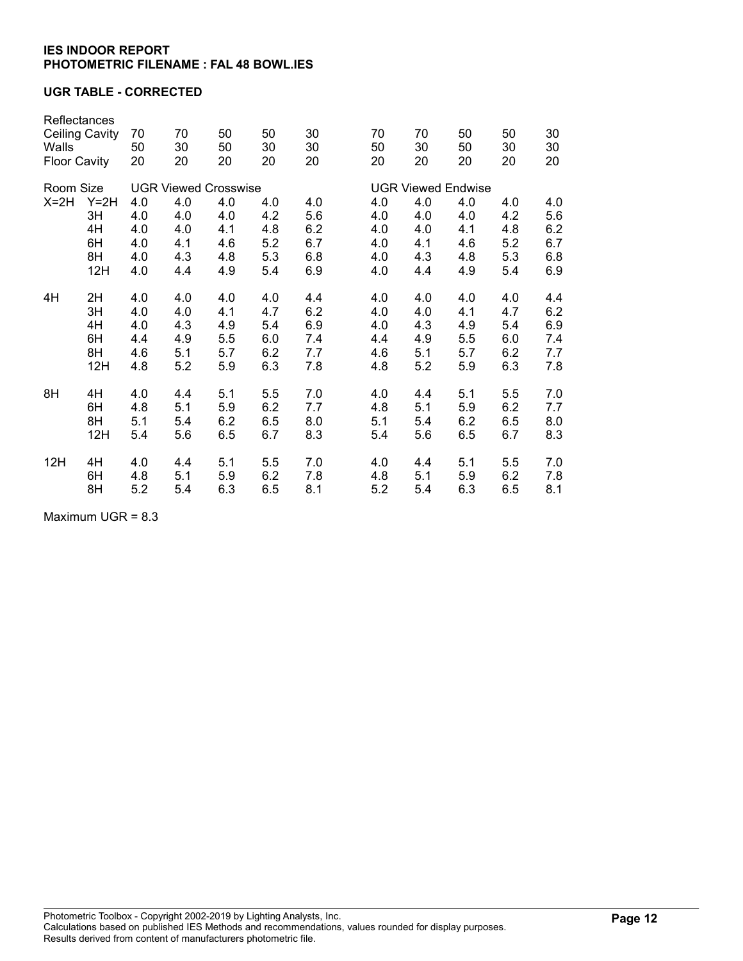## UGR TABLE - CORRECTED

| Reflectances<br><b>Ceiling Cavity</b><br>Walls<br><b>Floor Cavity</b> |                   | 70<br>50<br>20    | 70<br>30<br>20              | 50<br>50<br>20    | 50<br>30<br>20    | 30<br>30<br>20    | 70<br>50<br>20            | 70<br>30<br>20    | 50<br>50<br>20    | 50<br>30<br>20    | 30<br>30<br>20 |  |  |
|-----------------------------------------------------------------------|-------------------|-------------------|-----------------------------|-------------------|-------------------|-------------------|---------------------------|-------------------|-------------------|-------------------|----------------|--|--|
| Room Size                                                             |                   |                   | <b>UGR Viewed Crosswise</b> |                   |                   |                   | <b>UGR Viewed Endwise</b> |                   |                   |                   |                |  |  |
| $X=2H$<br>$Y=2H$<br>3H<br>4H                                          | 4.0<br>4.0<br>4.0 | 4.0<br>4.0<br>4.0 | 4.0<br>4.0<br>4.1           | 4.0<br>4.2<br>4.8 | 4.0<br>5.6<br>6.2 | 4.0<br>4.0<br>4.0 | 4.0<br>4.0<br>4.0         | 4.0<br>4.0<br>4.1 | 4.0<br>4.2<br>4.8 | 4.0<br>5.6<br>6.2 |                |  |  |
|                                                                       | 6H                | 4.0               | 4.1                         | 4.6               | 5.2               | 6.7               | 4.0                       | 4.1               | 4.6               | 5.2               | 6.7            |  |  |
|                                                                       | 8H                | 4.0               | 4.3                         | 4.8               | 5.3               | 6.8               | 4.0                       | 4.3               | 4.8               | 5.3               | 6.8            |  |  |
|                                                                       | 12H               | 4.0               | 4.4                         | 4.9               | 5.4               | 6.9               | 4.0                       | 4.4               | 4.9               | 5.4               | 6.9            |  |  |
| 4H                                                                    | 2H                | 4.0               | 4.0                         | 4.0               | 4.0               | 4.4               | 4.0                       | 4.0               | 4.0               | 4.0               | 4.4            |  |  |
|                                                                       | 3H                | 4.0               | 4.0                         | 4.1               | 4.7               | 6.2               | 4.0                       | 4.0               | 4.1               | 4.7               | 6.2            |  |  |
|                                                                       | 4H                | 4.0               | 4.3                         | 4.9               | 5.4               | 6.9               | 4.0                       | 4.3               | 4.9               | 5.4               | 6.9            |  |  |
|                                                                       | 6H                | 4.4               | 4.9                         | 5.5               | 6.0               | 7.4               | 4.4                       | 4.9               | 5.5               | 6.0               | 7.4            |  |  |
|                                                                       | 8H                | 4.6               | 5.1                         | 5.7               | 6.2               | 7.7               | 4.6                       | 5.1               | 5.7               | 6.2               | 7.7            |  |  |
|                                                                       | 12H               | 4.8               | 5.2                         | 5.9               | 6.3               | 7.8               | 4.8                       | 5.2               | 5.9               | 6.3               | 7.8            |  |  |
| 8H                                                                    | 4H                | 4.0               | 4.4                         | 5.1               | 5.5               | 7.0               | 4.0                       | 4.4               | 5.1               | 5.5               | 7.0            |  |  |
|                                                                       | 6H                | 4.8               | 5.1                         | 5.9               | 6.2               | 7.7               | 4.8                       | 5.1               | 5.9               | 6.2               | 7.7            |  |  |
|                                                                       | 8H                | 5.1               | 5.4                         | 6.2               | 6.5               | 8.0               | 5.1                       | 5.4               | 6.2               | 6.5               | 8.0            |  |  |
|                                                                       | 12H               | 5.4               | 5.6                         | 6.5               | 6.7               | 8.3               | 5.4                       | 5.6               | 6.5               | 6.7               | 8.3            |  |  |
| 12H                                                                   | 4H                | 4.0               | 4.4                         | 5.1               | 5.5               | 7.0               | 4.0                       | 4.4               | 5.1               | 5.5               | 7.0            |  |  |
|                                                                       | 6H                | 4.8               | 5.1                         | 5.9               | 6.2               | 7.8               | 4.8                       | 5.1               | 5.9               | 6.2               | 7.8            |  |  |
|                                                                       | 8H                | 5.2               | 5.4                         | 6.3               | 6.5               | 8.1               | 5.2                       | 5.4               | 6.3               | 6.5               | 8.1            |  |  |

Maximum UGR = 8.3